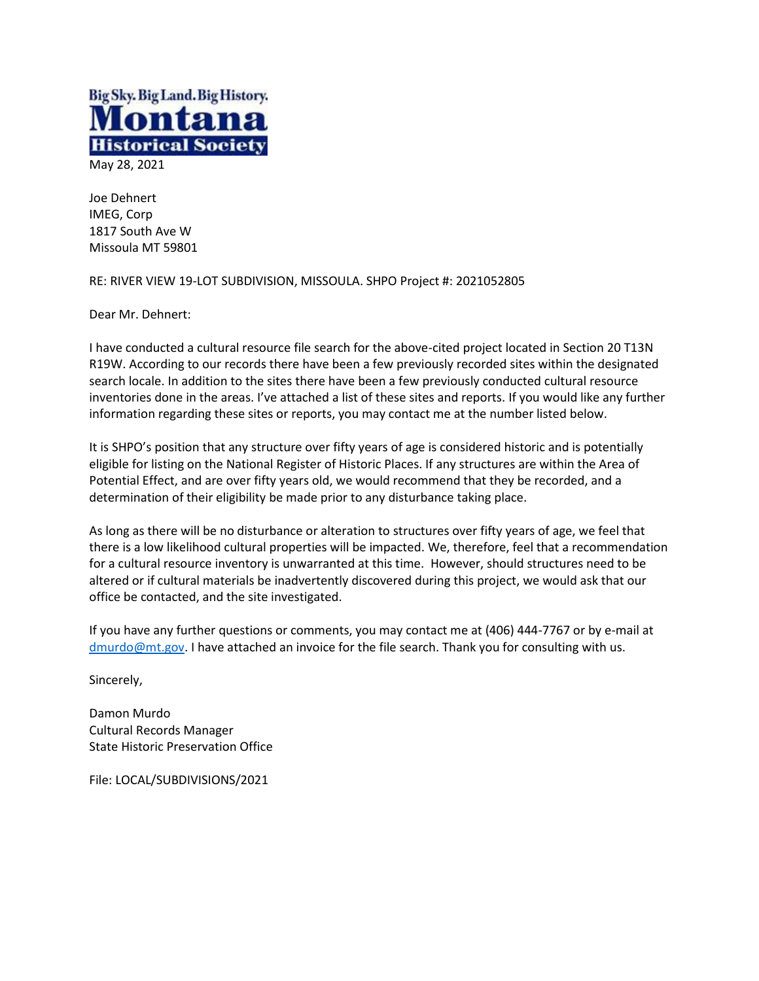

Joe Dehnert IMEG, Corp 1817 South Ave W Missoula MT 59801

RE: RIVER VIEW 19-LOT SUBDIVISION, MISSOULA. SHPO Project #: 2021052805

Dear Mr. Dehnert:

I have conducted a cultural resource file search for the above-cited project located in Section 20 T13N R19W. According to our records there have been a few previously recorded sites within the designated search locale. In addition to the sites there have been a few previously conducted cultural resource inventories done in the areas. I've attached a list of these sites and reports. If you would like any further information regarding these sites or reports, you may contact me at the number listed below.

It is SHPO's position that any structure over fifty years of age is considered historic and is potentially eligible for listing on the National Register of Historic Places. If any structures are within the Area of Potential Effect, and are over fifty years old, we would recommend that they be recorded, and a determination of their eligibility be made prior to any disturbance taking place.

As long as there will be no disturbance or alteration to structures over fifty years of age, we feel that there is a low likelihood cultural properties will be impacted. We, therefore, feel that a recommendation for a cultural resource inventory is unwarranted at this time. However, should structures need to be altered or if cultural materials be inadvertently discovered during this project, we would ask that our office be contacted, and the site investigated.

If you have any further questions or comments, you may contact me at (406) 444-7767 or by e-mail at [dmurdo@mt.gov.](mailto:dmurdo@mt.gov) I have attached an invoice for the file search. Thank you for consulting with us.

Sincerely,

Damon Murdo Cultural Records Manager State Historic Preservation Office

File: LOCAL/SUBDIVISIONS/2021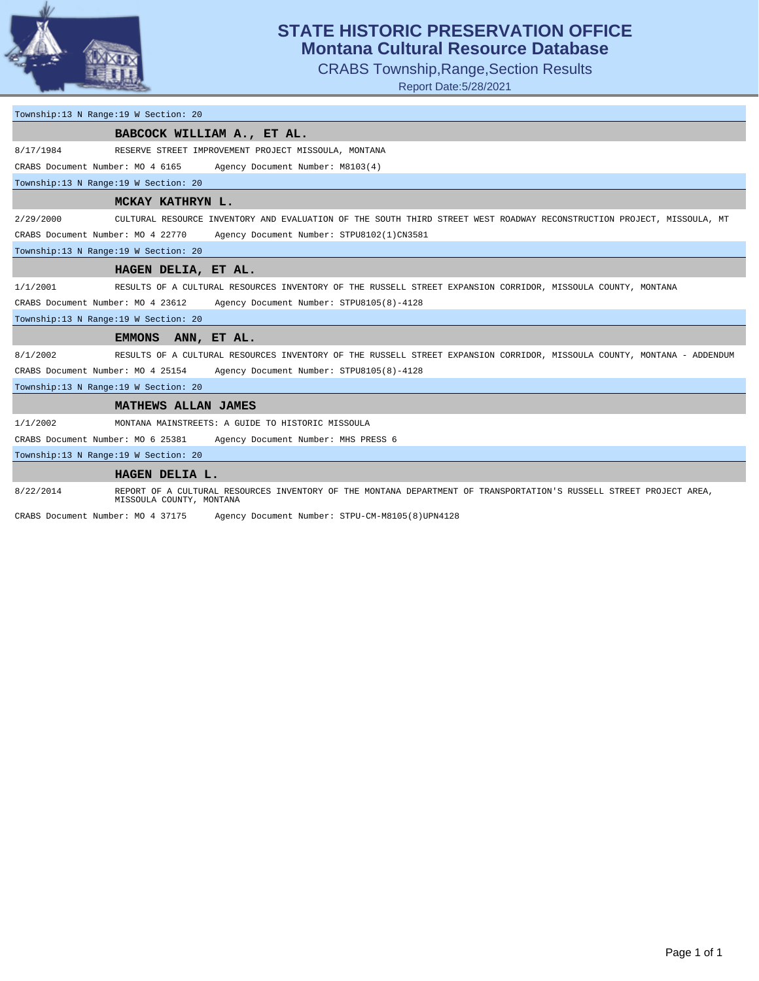

## **STATE HISTORIC PRESERVATION OFFICE Montana Cultural Resource Database**

CRABS Township,Range,Section Results

Report Date:5/28/2021

## Township:13 N Range:19 W Section: 20

| BABCOCK WILLIAM A., ET AL.           |                                                                                                                                                 |  |  |  |  |  |
|--------------------------------------|-------------------------------------------------------------------------------------------------------------------------------------------------|--|--|--|--|--|
| 8/17/1984                            | RESERVE STREET IMPROVEMENT PROJECT MISSOULA, MONTANA                                                                                            |  |  |  |  |  |
| CRABS Document Number: MO 4 6165     | Agency Document Number: M8103(4)                                                                                                                |  |  |  |  |  |
| Township:13 N Range:19 W Section: 20 |                                                                                                                                                 |  |  |  |  |  |
|                                      | MCKAY KATHRYN L.                                                                                                                                |  |  |  |  |  |
| 2/29/2000                            | CULTURAL RESOURCE INVENTORY AND EVALUATION OF THE SOUTH THIRD STREET WEST ROADWAY RECONSTRUCTION PROJECT, MISSOULA, MT                          |  |  |  |  |  |
| CRABS Document Number: MO 4 22770    | Agency Document Number: STPU8102(1)CN3581                                                                                                       |  |  |  |  |  |
| Township:13 N Range:19 W Section: 20 |                                                                                                                                                 |  |  |  |  |  |
|                                      | HAGEN DELIA, ET AL.                                                                                                                             |  |  |  |  |  |
| 1/1/2001                             | RESULTS OF A CULTURAL RESOURCES INVENTORY OF THE RUSSELL STREET EXPANSION CORRIDOR, MISSOULA COUNTY, MONTANA                                    |  |  |  |  |  |
| CRABS Document Number: MO 4 23612    | Agency Document Number: STPU8105(8)-4128                                                                                                        |  |  |  |  |  |
| Township:13 N Range:19 W Section: 20 |                                                                                                                                                 |  |  |  |  |  |
|                                      | <b>EMMONS</b><br>ANN, ET AL.                                                                                                                    |  |  |  |  |  |
| 8/1/2002                             | RESULTS OF A CULTURAL RESOURCES INVENTORY OF THE RUSSELL STREET EXPANSION CORRIDOR, MISSOULA COUNTY, MONTANA - ADDENDUM                         |  |  |  |  |  |
| CRABS Document Number: MO 4 25154    | Agency Document Number: STPU8105(8)-4128                                                                                                        |  |  |  |  |  |
| Township:13 N Range:19 W Section: 20 |                                                                                                                                                 |  |  |  |  |  |
|                                      | MATHEWS ALLAN JAMES                                                                                                                             |  |  |  |  |  |
| 1/1/2002                             | MONTANA MAINSTREETS: A GUIDE TO HISTORIC MISSOULA                                                                                               |  |  |  |  |  |
| CRABS Document Number: MO 6 25381    | Agency Document Number: MHS PRESS 6                                                                                                             |  |  |  |  |  |
| Township:13 N Range:19 W Section: 20 |                                                                                                                                                 |  |  |  |  |  |
|                                      | HAGEN DELIA L.                                                                                                                                  |  |  |  |  |  |
| 8/22/2014                            | REPORT OF A CULTURAL RESOURCES INVENTORY OF THE MONTANA DEPARTMENT OF TRANSPORTATION'S RUSSELL STREET PROJECT AREA,<br>MISSOULA COUNTY, MONTANA |  |  |  |  |  |

CRABS Document Number: MO 4 37175 Agency Document Number: STPU-CM-M8105(8)UPN4128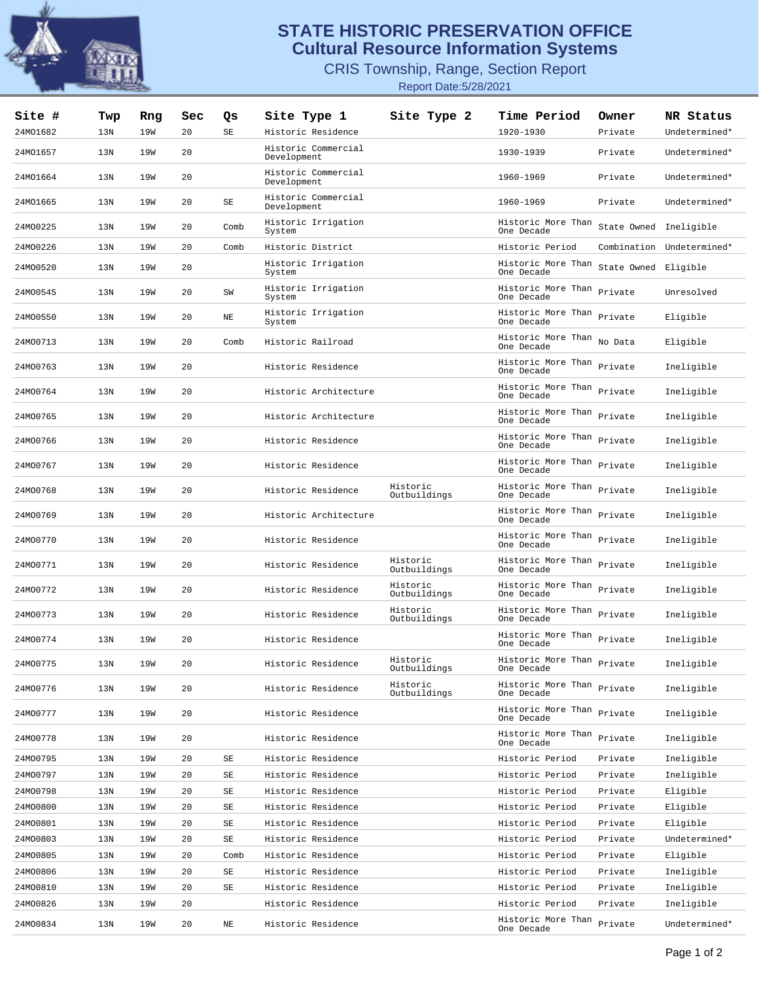

## **STATE HISTORIC PRESERVATION OFFICE Cultural Resource Information Systems**

CRIS Township, Range, Section Report Report Date:5/28/2021

| Site #<br>24MO1682 | Twp<br>13N | Rng<br>19W | Sec<br>20 | Qs<br>$\operatorname{SE}$ | Site Type 1<br>Historic Residence        | Site Type 2              | <b>Time Period</b><br>1920-1930          | Owner<br>Private       | NR Status<br>Undetermined* |
|--------------------|------------|------------|-----------|---------------------------|------------------------------------------|--------------------------|------------------------------------------|------------------------|----------------------------|
| 24MO1657           | 13N        | 19W        | 20        |                           | Historic Commercial<br>Development       |                          | 1930-1939                                | Private                | Undetermined*              |
| 24MO1664           | 13N        | 19W        | 20        |                           | Historic Commercial                      |                          | 1960-1969                                | Private                | Undetermined*              |
| 24MO1665           | 13N        | 19W        | 20        | $\rm SE$                  | Development<br>Historic Commercial       |                          | 1960-1969                                | Private                | Undetermined*              |
| 24MO0225           | 13N        | 19W        | 20        | Comb                      | Development<br>Historic Irrigation       |                          | Historic More Than                       | State Owned Ineligible |                            |
| 24MO0226           |            |            | 20        |                           | System                                   |                          | One Decade                               |                        |                            |
|                    | 13N        | 19W        |           | Comb                      | Historic District<br>Historic Irrigation |                          | Historic Period<br>Historic More Than    |                        | Combination Undetermined*  |
| 24MO0520           | 13N        | 19W        | 20        |                           | System                                   |                          | One Decade                               | State Owned Eligible   |                            |
| 24MO0545           | 13N        | 19W        | 20        | ${\tt SW}$                | Historic Irrigation<br>System            |                          | Historic More Than Private<br>One Decade |                        | Unresolved                 |
| 24MO0550           | 13N        | 19W        | 20        | NE                        | Historic Irrigation<br>System            |                          | Historic More Than<br>One Decade         | Private                | Eligible                   |
| 24MO0713           | 13N        | 19W        | 20        | Comb                      | Historic Railroad                        |                          | Historic More Than<br>One Decade         | No Data                | Eligible                   |
| 24MO0763           | 13N        | 19W        | 20        |                           | Historic Residence                       |                          | Historic More Than Private<br>One Decade |                        | Ineligible                 |
| 24MO0764           | 13N        | 19W        | 20        |                           | Historic Architecture                    |                          | Historic More Than Private<br>One Decade |                        | Ineligible                 |
| 24MO0765           | 13N        | 19W        | 20        |                           | Historic Architecture                    |                          | Historic More Than<br>One Decade         | Private                | Ineligible                 |
| 24MO0766           | 13N        | 19W        | 20        |                           | Historic Residence                       |                          | Historic More Than Private<br>One Decade |                        | Ineligible                 |
| 24MO0767           | 13N        | 19W        | 20        |                           | Historic Residence                       |                          | Historic More Than Private<br>One Decade |                        | Ineligible                 |
| 24MO0768           | 13N        | 19W        | 20        |                           | Historic Residence                       | Historic<br>Outbuildings | Historic More Than<br>One Decade         | Private                | Ineligible                 |
| 24MO0769           | 13N        | 19W        | 20        |                           | Historic Architecture                    |                          | Historic More Than Private<br>One Decade |                        | Ineligible                 |
| 24MO0770           | 13N        | 19W        | 20        |                           | Historic Residence                       |                          | Historic More Than Private<br>One Decade |                        | Ineligible                 |
| 24M00771           | 13N        | 19W        | 20        |                           | Historic Residence                       | Historic<br>Outbuildings | Historic More Than<br>One Decade         | Private                | Ineligible                 |
| 24MO0772           | 13N        | 19W        | 20        |                           | Historic Residence                       | Historic<br>Outbuildings | Historic More Than Private<br>One Decade |                        | Ineligible                 |
| 24MO0773           | 13N        | 19W        | 20        |                           | Historic Residence                       | Historic<br>Outbuildings | Historic More Than Private<br>One Decade |                        | Ineligible                 |
| 24MO0774           | 13N        | 19W        | 20        |                           | Historic Residence                       |                          | Historic More Than<br>One Decade         | Private                | Ineligible                 |
| 24MO0775           | 13N        | 19W        | 20        |                           | Historic Residence                       | Historic<br>Outbuildings | Historic More Than<br>One Decade         | Private                | Ineligible                 |
| 24MO0776           | 13N        | 19W        | 20        |                           | Historic Residence                       | Historic<br>Outbuildings | Historic More Than<br>One Decade         | Private                | Ineligible                 |
| 24MO0777           | 13N        | 19W        | 20        |                           | Historic Residence                       |                          | Historic More Than<br>One Decade         | Private                | Ineligible                 |
| 24MO0778           | 13N        | 19W        | 20        |                           | Historic Residence                       |                          | Historic More Than<br>One Decade         | Private                | Ineligible                 |
| 24MO0795           | 13N        | 19W        | 20        | SЕ                        | Historic Residence                       |                          | Historic Period                          | Private                | Ineligible                 |
| 24MO0797           | 13N        | 19W        | 20        | SE                        | Historic Residence                       |                          | Historic Period                          | Private                | Ineligible                 |
| 24MO0798           | 13N        | 19W        | 20        | SE                        | Historic Residence                       |                          | Historic Period                          | Private                | Eligible                   |
| 24MO0800           | 13N        | 19W        | 20        | SE                        | Historic Residence                       |                          | Historic Period                          | Private                | Eligible                   |
| 24M00801           | 13N        | 19W        | 20        | SE                        | Historic Residence                       |                          | Historic Period                          | Private                | Eligible                   |
| 24MO0803           | 13N        | 19W        | 20        | SE                        | Historic Residence                       |                          | Historic Period                          | Private                | Undetermined*              |
| 24MO0805           | 13N        | 19W        | 20        | Comb                      | Historic Residence                       |                          | Historic Period                          | Private                | Eligible                   |
| 24MO0806           | 13N        | 19W        | 20        | SE                        | Historic Residence                       |                          | Historic Period                          | Private                | Ineligible                 |
| 24MO0810           | 13N        | 19W        | 20        | SE                        | Historic Residence                       |                          | Historic Period                          | Private                | Ineligible                 |
| 24MO0826           | 13N        | 19W        | 20        |                           | Historic Residence                       |                          | Historic Period                          | Private                | Ineligible                 |
| 24MO0834           | 13N        | 19W        | 20        | ΝE                        | Historic Residence                       |                          | Historic More Than<br>One Decade         | Private                | Undetermined*              |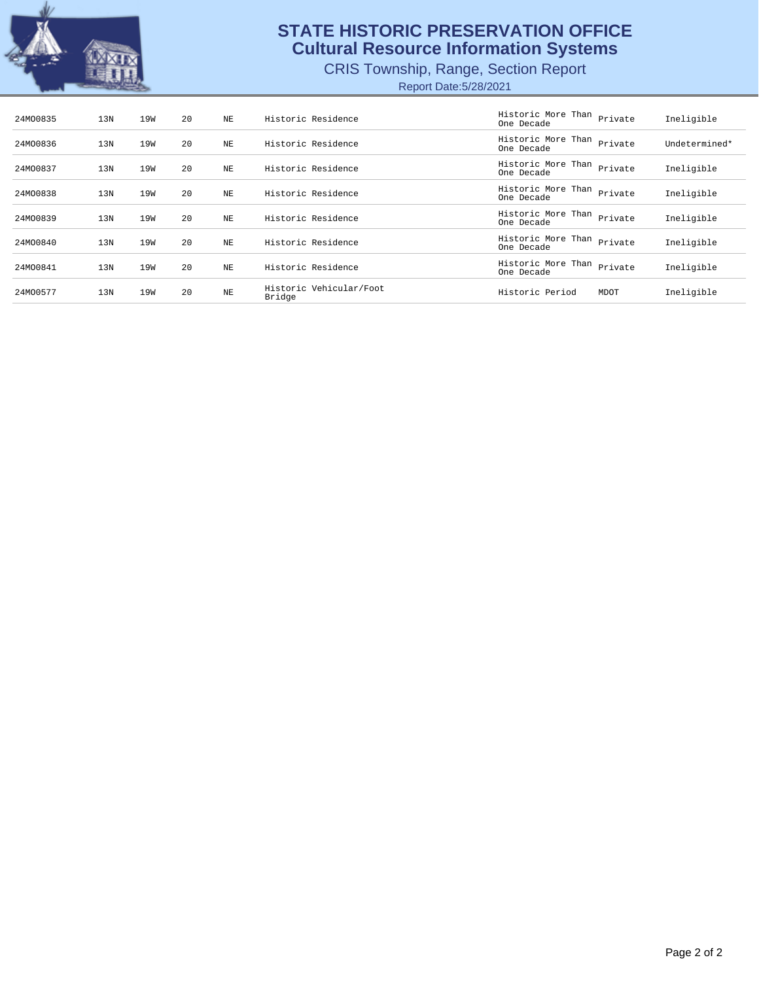

## **STATE HISTORIC PRESERVATION OFFICE Cultural Resource Information Systems**

CRIS Township, Range, Section Report

Report Date:5/28/2021

| 24MO0835 | 13N | 19W | 20  | NE  | Historic Residence                | Historic More Than<br>One Decade | Private | Ineligible    |
|----------|-----|-----|-----|-----|-----------------------------------|----------------------------------|---------|---------------|
| 24MO0836 | 13N | 19W | 20  | NE  | Historic Residence                | Historic More Than<br>One Decade | Private | Undetermined* |
| 24MO0837 | 13N | 19W | 2.0 | NF. | Historic Residence                | Historic More Than<br>One Decade | Private | Ineligible    |
| 24MO0838 | 13N | 19W | 20  | NE  | Historic Residence                | Historic More Than<br>One Decade | Private | Ineligible    |
| 24MO0839 | 13N | 19W | 20  | NE  | Historic Residence                | Historic More Than<br>One Decade | Private | Ineligible    |
| 24MO0840 | 13N | 19W | 20  | NE  | Historic Residence                | Historic More Than<br>One Decade | Private | Ineligible    |
| 24MO0841 | 13N | 19W | 20  | NF. | Historic Residence                | Historic More Than<br>One Decade | Private | Ineligible    |
| 24MO0577 | 13N | 19W | 20  | NE  | Historic Vehicular/Foot<br>Bridge | Historic Period                  | MDOT    | Ineligible    |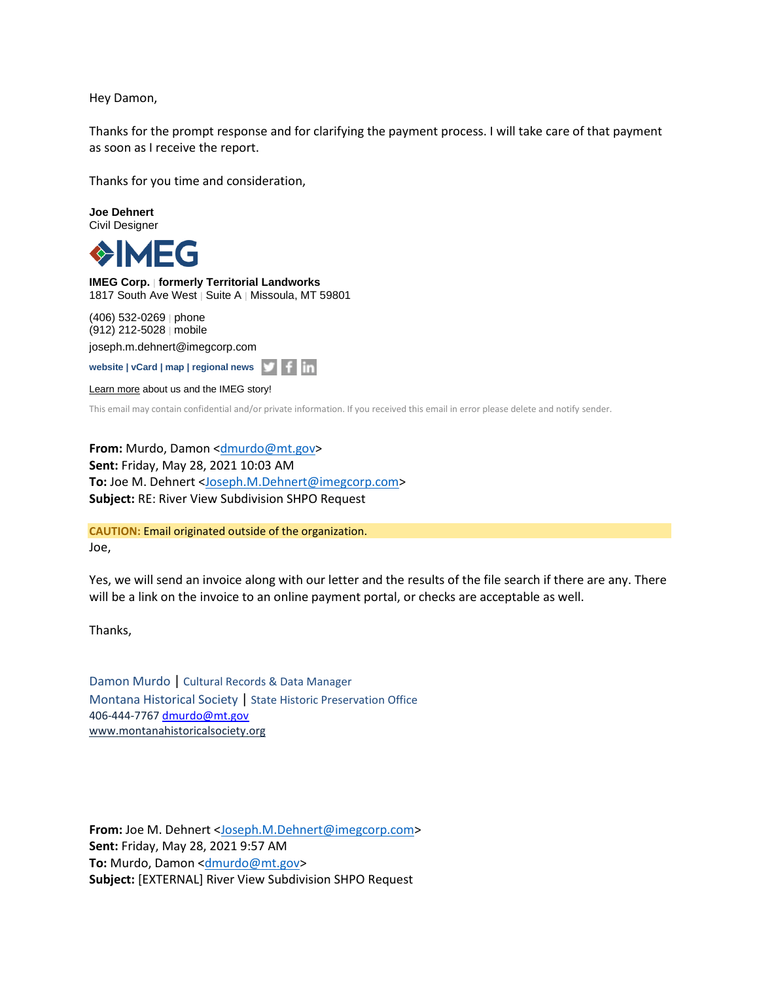Hey Damon,

Thanks for the prompt response and for clarifying the payment process. I will take care of that payment as soon as I receive the report.

Thanks for you time and consideration,

**Joe Dehnert** Civil Designer

1FG

**IMEG Corp.** | **formerly Territorial Landworks** 1817 South Ave West | Suite A | Missoula, MT 59801

(406) 532-0269 | phone (912) 212-5028 | mobile [joseph.m.dehnert@imegcorp.com](mailto:joseph.m.dehnert@imegcorp.com)

**[website](https://www.imegcorp.com/) | [vCard](https://dynasend.com/signatures/vcard/joseph.m.dehnert-at-imegcorp.com.vcf) | [map](https://www.google.com/maps/place/1817+South+Ave+W,+Missoula,+MT+59801/@46.8480356,-114.0272793,17z/data=!3m1!4b1!4m5!3m4!1s0x535dcdf29ff2db53:0x9cb98fb330b7c9bf!8m2!3d46.8480356!4d-114.0250906?hl=en) | [regional news](https://www.imegcorp.com/location/upper-mountain-state-region/)**

[Learn more](https://www.imegcorp.com/about/our-story/) about us and the IMEG story!

This email may contain confidential and/or private information. If you received this email in error please delete and notify sender.

**From:** Murdo, Damon [<dmurdo@mt.gov>](mailto:dmurdo@mt.gov) **Sent:** Friday, May 28, 2021 10:03 AM **To:** Joe M. Dehnert [<Joseph.M.Dehnert@imegcorp.com>](mailto:Joseph.M.Dehnert@imegcorp.com) **Subject:** RE: River View Subdivision SHPO Request

**CAUTION:** Email originated outside of the organization. Joe,

Yes, we will send an invoice along with our letter and the results of the file search if there are any. There will be a link on the invoice to an online payment portal, or checks are acceptable as well.

Thanks,

Damon Murdo | Cultural Records & Data Manager Montana Historical Society | State Historic Preservation Office 406-444-7767 [dmurdo@mt.gov](mailto:dmurdo@mt.gov) [www.montanahistoricalsociety.org](https://nam04.safelinks.protection.outlook.com/?url=http%3A%2F%2Fwww.montanahistoricalsociety.org%2F&data=04%7C01%7CJoseph.M.Dehnert%40imegcorp.com%7C039f20f9a2534b90fcd308d921f2020c%7C7b8f7acce1c0467a86e9678144da7881%7C1%7C0%7C637578145585725584%7CUnknown%7CTWFpbGZsb3d8eyJWIjoiMC4wLjAwMDAiLCJQIjoiV2luMzIiLCJBTiI6Ik1haWwiLCJXVCI6Mn0%3D%7C1000&sdata=zkaCdsvx43KkKdcf03fkNxRfLUK0EZT3411y2evJOfk%3D&reserved=0)

**From:** Joe M. Dehnert [<Joseph.M.Dehnert@imegcorp.com>](mailto:Joseph.M.Dehnert@imegcorp.com) **Sent:** Friday, May 28, 2021 9:57 AM **To:** Murdo, Damon < $\frac{dmurdo@mt.gov}{cm}$ **Subject:** [EXTERNAL] River View Subdivision SHPO Request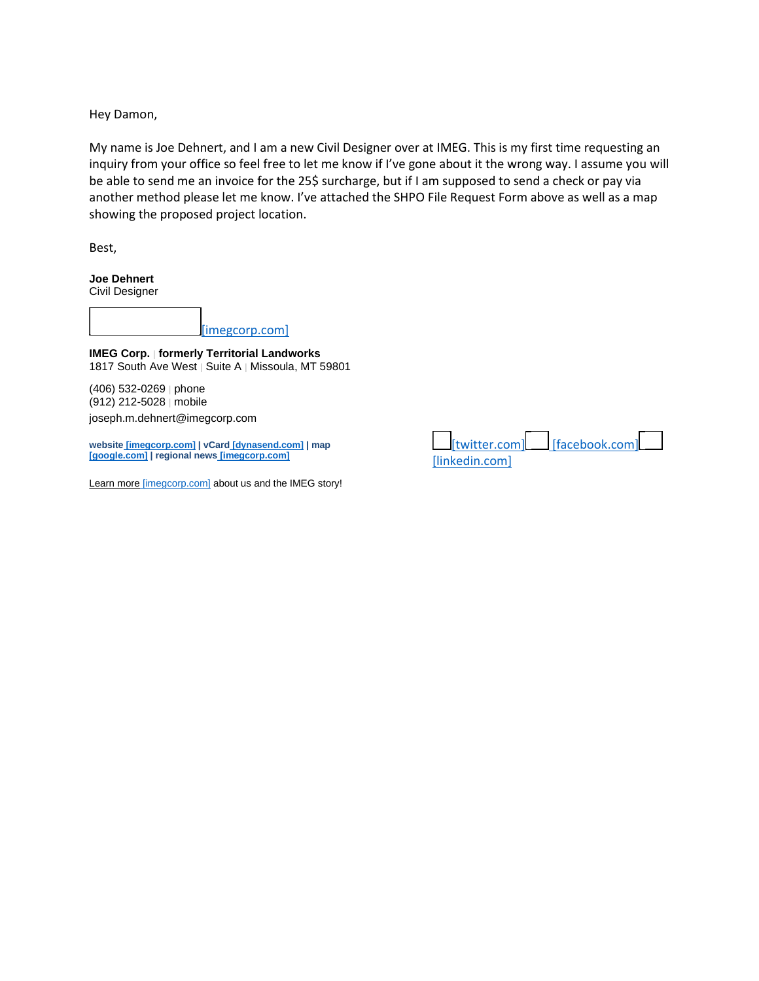Hey Damon,

My name is Joe Dehnert, and I am a new Civil Designer over at IMEG. This is my first time requesting an inquiry from your office so feel free to let me know if I've gone about it the wrong way. I assume you will be able to send me an invoice for the 25\$ surcharge, but if I am supposed to send a check or pay via another method please let me know. I've attached the SHPO File Request Form above as well as a map showing the proposed project location.

Best,

**Joe Dehnert** Civil Designer

[\[imegcorp.com\]](https://nam04.safelinks.protection.outlook.com/?url=https%3A%2F%2Furldefense.com%2Fv3%2F__https%3A%2Fwww.imegcorp.com%2F__%3B!!GaaboA!7wICeh6pW9mdXU9gkv9KBXZRWlYIO9h6r93oiDRz4PDj8Ly48OyEg37hDXuRBg%24&data=04%7C01%7CJoseph.M.Dehnert%40imegcorp.com%7C039f20f9a2534b90fcd308d921f2020c%7C7b8f7acce1c0467a86e9678144da7881%7C1%7C0%7C637578145585735538%7CUnknown%7CTWFpbGZsb3d8eyJWIjoiMC4wLjAwMDAiLCJQIjoiV2luMzIiLCJBTiI6Ik1haWwiLCJXVCI6Mn0%3D%7C1000&sdata=yznQTtqdEkXrQ4TpEv%2BcKVnePSKKN4%2FJWZLHGU7cUyE%3D&reserved=0)

**IMEG Corp.** | **formerly Territorial Landworks** 1817 South Ave West | Suite A | Missoula, MT 59801

(406) 532-0269 | phone (912) 212-5028 | mobile [joseph.m.dehnert@imegcorp.com](mailto:joseph.m.dehnert@imegcorp.com)

**website [\[imegcorp.com\]](https://nam04.safelinks.protection.outlook.com/?url=https%3A%2F%2Furldefense.com%2Fv3%2F__https%3A%2Fwww.imegcorp.com__%3B!!GaaboA!7wICeh6pW9mdXU9gkv9KBXZRWlYIO9h6r93oiDRz4PDj8Ly48OyEg35NL8W4HQ%24&data=04%7C01%7CJoseph.M.Dehnert%40imegcorp.com%7C039f20f9a2534b90fcd308d921f2020c%7C7b8f7acce1c0467a86e9678144da7881%7C1%7C0%7C637578145585735538%7CUnknown%7CTWFpbGZsb3d8eyJWIjoiMC4wLjAwMDAiLCJQIjoiV2luMzIiLCJBTiI6Ik1haWwiLCJXVCI6Mn0%3D%7C1000&sdata=NRul2%2BaKNzNvfJF63VhYgfk2CtyCydpf0PDbm9ALOH0%3D&reserved=0) | vCard [\[dynasend.com\]](https://nam04.safelinks.protection.outlook.com/?url=https%3A%2F%2Furldefense.com%2Fv3%2F__https%3A%2Fdynasend.com%2Fsignatures%2Fvcard%2Fjoseph.m.dehnert-at-imegcorp.com.vcf__%3B!!GaaboA!7wICeh6pW9mdXU9gkv9KBXZRWlYIO9h6r93oiDRz4PDj8Ly48OyEg36HtJ0kXA%24&data=04%7C01%7CJoseph.M.Dehnert%40imegcorp.com%7C039f20f9a2534b90fcd308d921f2020c%7C7b8f7acce1c0467a86e9678144da7881%7C1%7C0%7C637578145585745494%7CUnknown%7CTWFpbGZsb3d8eyJWIjoiMC4wLjAwMDAiLCJQIjoiV2luMzIiLCJBTiI6Ik1haWwiLCJXVCI6Mn0%3D%7C1000&sdata=qWiV2gqTvSha5zxI0a53V1pG%2FOxZm6S8EQm88ICrKSA%3D&reserved=0) | [map](https://nam04.safelinks.protection.outlook.com/?url=https%3A%2F%2Furldefense.com%2Fv3%2F__https%3A%2Fwww.google.com%2Fmaps%2Fplace%2F1817*South*Ave*W%2C*Missoula%2C*MT*59801%2F%4046.8480356%2C-114.0272793%2C17z%2Fdata%3D!3m1!4b1!4m5!3m4!1s0x535dcdf29ff2db53%3A0x9cb98fb330b7c9bf!8m2!3d46.8480356!4d-114.0250906%3Fhl%3Den__%3BKysrKysr!!GaaboA!7wICeh6pW9mdXU9gkv9KBXZRWlYIO9h6r93oiDRz4PDj8Ly48OyEg36EPKabVg%24&data=04%7C01%7CJoseph.M.Dehnert%40imegcorp.com%7C039f20f9a2534b90fcd308d921f2020c%7C7b8f7acce1c0467a86e9678144da7881%7C1%7C0%7C637578145585745494%7CUnknown%7CTWFpbGZsb3d8eyJWIjoiMC4wLjAwMDAiLCJQIjoiV2luMzIiLCJBTiI6Ik1haWwiLCJXVCI6Mn0%3D%7C1000&sdata=19CdDXTec5%2F3cml5XbbxHIqU6Oyf4kiAOnU2gSVX80Y%3D&reserved=0) [\[google.com\]](https://nam04.safelinks.protection.outlook.com/?url=https%3A%2F%2Furldefense.com%2Fv3%2F__https%3A%2Fwww.google.com%2Fmaps%2Fplace%2F1817*South*Ave*W%2C*Missoula%2C*MT*59801%2F%4046.8480356%2C-114.0272793%2C17z%2Fdata%3D!3m1!4b1!4m5!3m4!1s0x535dcdf29ff2db53%3A0x9cb98fb330b7c9bf!8m2!3d46.8480356!4d-114.0250906%3Fhl%3Den__%3BKysrKysr!!GaaboA!7wICeh6pW9mdXU9gkv9KBXZRWlYIO9h6r93oiDRz4PDj8Ly48OyEg36EPKabVg%24&data=04%7C01%7CJoseph.M.Dehnert%40imegcorp.com%7C039f20f9a2534b90fcd308d921f2020c%7C7b8f7acce1c0467a86e9678144da7881%7C1%7C0%7C637578145585745494%7CUnknown%7CTWFpbGZsb3d8eyJWIjoiMC4wLjAwMDAiLCJQIjoiV2luMzIiLCJBTiI6Ik1haWwiLCJXVCI6Mn0%3D%7C1000&sdata=19CdDXTec5%2F3cml5XbbxHIqU6Oyf4kiAOnU2gSVX80Y%3D&reserved=0) | regional news [\[imegcorp.com\]](https://nam04.safelinks.protection.outlook.com/?url=https%3A%2F%2Furldefense.com%2Fv3%2F__https%3A%2Fwww.imegcorp.com%2Flocation%2Fupper-mountain-state-region%2F__%3B!!GaaboA!7wICeh6pW9mdXU9gkv9KBXZRWlYIO9h6r93oiDRz4PDj8Ly48OyEg35OZLn0lQ%24&data=04%7C01%7CJoseph.M.Dehnert%40imegcorp.com%7C039f20f9a2534b90fcd308d921f2020c%7C7b8f7acce1c0467a86e9678144da7881%7C1%7C0%7C637578145585755451%7CUnknown%7CTWFpbGZsb3d8eyJWIjoiMC4wLjAwMDAiLCJQIjoiV2luMzIiLCJBTiI6Ik1haWwiLCJXVCI6Mn0%3D%7C1000&sdata=mBoQ2y0x2OPIGbE8fujqGlZ9IFlvsNVi1jADralgX%2FY%3D&reserved=0)**

Learn more [\[imegcorp.com\]](https://nam04.safelinks.protection.outlook.com/?url=https%3A%2F%2Furldefense.com%2Fv3%2F__https%3A%2Fwww.imegcorp.com%2Fabout%2Four-story%2F__%3B!!GaaboA!7wICeh6pW9mdXU9gkv9KBXZRWlYIO9h6r93oiDRz4PDj8Ly48OyEg349M_WnaA%24&data=04%7C01%7CJoseph.M.Dehnert%40imegcorp.com%7C039f20f9a2534b90fcd308d921f2020c%7C7b8f7acce1c0467a86e9678144da7881%7C1%7C0%7C637578145585765410%7CUnknown%7CTWFpbGZsb3d8eyJWIjoiMC4wLjAwMDAiLCJQIjoiV2luMzIiLCJBTiI6Ik1haWwiLCJXVCI6Mn0%3D%7C1000&sdata=I0Em%2BTe8seUM4Y09nLjtK1Gcp38TONY2ax6%2BlebXxC4%3D&reserved=0) about us and the IMEG story!

[\[twitter.com\]](https://nam04.safelinks.protection.outlook.com/?url=https%3A%2F%2Furldefense.com%2Fv3%2F__http%3A%2Ftwitter.com%2FIMEGcorp__%3B!!GaaboA!7wICeh6pW9mdXU9gkv9KBXZRWlYIO9h6r93oiDRz4PDj8Ly48OyEg35rbVSKIg%24&data=04%7C01%7CJoseph.M.Dehnert%40imegcorp.com%7C039f20f9a2534b90fcd308d921f2020c%7C7b8f7acce1c0467a86e9678144da7881%7C1%7C0%7C637578145585755451%7CUnknown%7CTWFpbGZsb3d8eyJWIjoiMC4wLjAwMDAiLCJQIjoiV2luMzIiLCJBTiI6Ik1haWwiLCJXVCI6Mn0%3D%7C1000&sdata=btYixBBR27BdgMfA01B1YwYPFay1nYmlCDNxkakCAms%3D&reserved=0) [\[facebook.com\]](https://nam04.safelinks.protection.outlook.com/?url=https%3A%2F%2Furldefense.com%2Fv3%2F__https%3A%2Fwww.facebook.com%2FIMEGcorp%2F__%3B!!GaaboA!7wICeh6pW9mdXU9gkv9KBXZRWlYIO9h6r93oiDRz4PDj8Ly48OyEg35KjJfOQQ%24&data=04%7C01%7CJoseph.M.Dehnert%40imegcorp.com%7C039f20f9a2534b90fcd308d921f2020c%7C7b8f7acce1c0467a86e9678144da7881%7C1%7C0%7C637578145585765410%7CUnknown%7CTWFpbGZsb3d8eyJWIjoiMC4wLjAwMDAiLCJQIjoiV2luMzIiLCJBTiI6Ik1haWwiLCJXVCI6Mn0%3D%7C1000&sdata=RboHwsVPKgqPMVKNz8xrXyF2u6y%2FYEk4FdnsoyE50H0%3D&reserved=0) [\[linkedin.com\]](https://nam04.safelinks.protection.outlook.com/?url=https%3A%2F%2Furldefense.com%2Fv3%2F__https%3A%2Fwww.linkedin.com%2Fcompany%2Fimeg-corp__%3B!!GaaboA!7wICeh6pW9mdXU9gkv9KBXZRWlYIO9h6r93oiDRz4PDj8Ly48OyEg354uMiYeA%24&data=04%7C01%7CJoseph.M.Dehnert%40imegcorp.com%7C039f20f9a2534b90fcd308d921f2020c%7C7b8f7acce1c0467a86e9678144da7881%7C1%7C0%7C637578145585765410%7CUnknown%7CTWFpbGZsb3d8eyJWIjoiMC4wLjAwMDAiLCJQIjoiV2luMzIiLCJBTiI6Ik1haWwiLCJXVCI6Mn0%3D%7C1000&sdata=xXTrKvT43l%2FvbyG2S6caufk2dJHn%2BfNzBUo1RvR7n9I%3D&reserved=0)